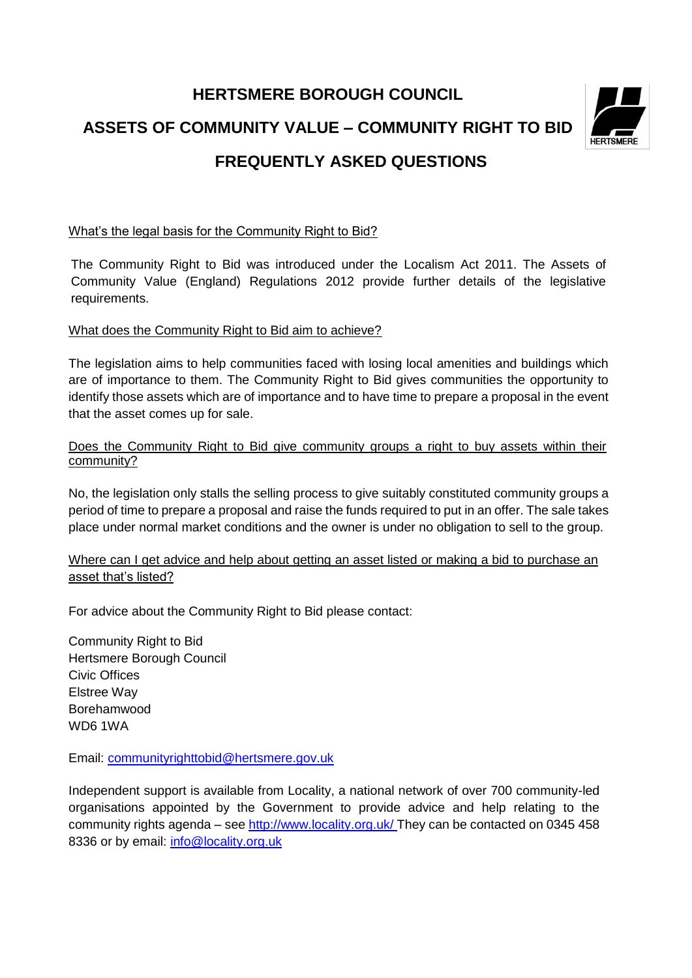# **HERTSMERE BOROUGH COUNCIL ASSETS OF COMMUNITY VALUE – COMMUNITY RIGHT TO BID FREQUENTLY ASKED QUESTIONS**

#### What's the legal basis for the Community Right to Bid?

The Community Right to Bid was introduced under the Localism Act 2011. The Assets of Community Value (England) Regulations 2012 provide further details of the legislative requirements.

#### What does the Community Right to Bid aim to achieve?

The legislation aims to help communities faced with losing local amenities and buildings which are of importance to them. The Community Right to Bid gives communities the opportunity to identify those assets which are of importance and to have time to prepare a proposal in the event that the asset comes up for sale.

#### Does the Community Right to Bid give community groups a right to buy assets within their community?

No, the legislation only stalls the selling process to give suitably constituted community groups a period of time to prepare a proposal and raise the funds required to put in an offer. The sale takes place under normal market conditions and the owner is under no obligation to sell to the group.

Where can I get advice and help about getting an asset listed or making a bid to purchase an asset that's listed?

For advice about the Community Right to Bid please contact:

Community Right to Bid Hertsmere Borough Council Civic Offices Elstree Way Borehamwood WD6 1WA

Email: [communityrighttobid@hertsmere.gov.uk](mailto:communityrighttobid@hertsmere.gov.uk)

Independent support is available from Locality, a national network of over 700 community-led organisations appointed by the Government to provide advice and help relating to the community rights agenda – see<http://www.locality.org.uk/> They can be contacted on 0345 458 8336 or by email: [info@locality.org.uk](mailto:info@locality.org.uk)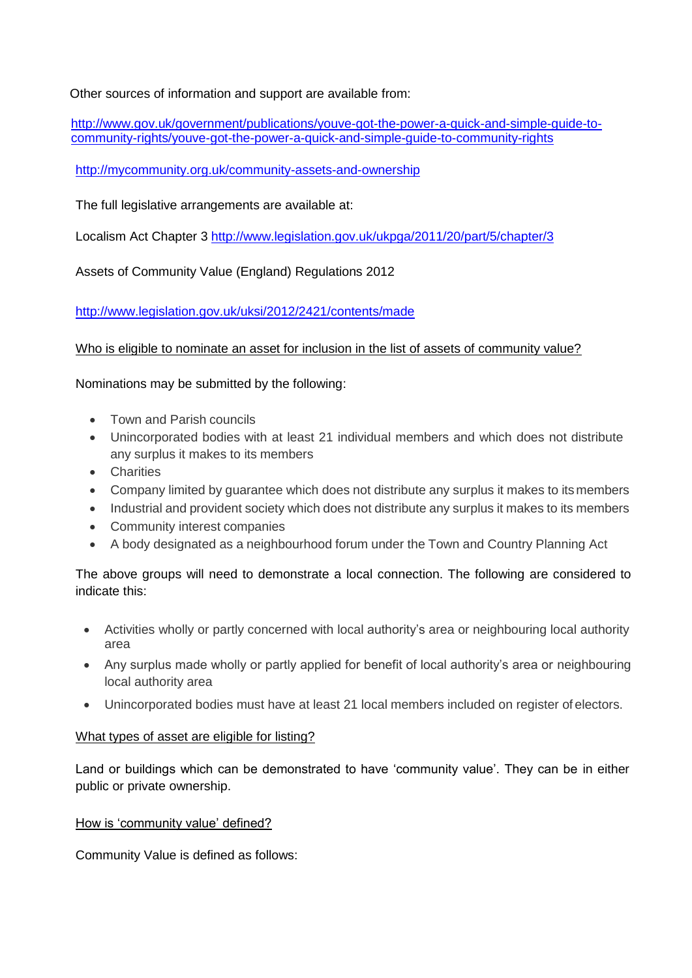Other sources of information and support are available from:

[http://www.gov.uk/government/publications/youve-got-the-power-a-quick-and-simple-guide-to](http://www.gov.uk/government/publications/youve-got-the-power-a-quick-and-simple-guide-to-community-rights/youve-got-the-power-a-quick-and-simple-guide-to-community-rights)[community-rights/youve-got-the-power-a-quick-and-simple-guide-to-community-rights](http://www.gov.uk/government/publications/youve-got-the-power-a-quick-and-simple-guide-to-community-rights/youve-got-the-power-a-quick-and-simple-guide-to-community-rights)

<http://mycommunity.org.uk/community-assets-and-ownership>

The full legislative arrangements are available at:

Localism Act Chapter 3<http://www.legislation.gov.uk/ukpga/2011/20/part/5/chapter/3>

Assets of Community Value (England) Regulations 2012

<http://www.legislation.gov.uk/uksi/2012/2421/contents/made>

Who is eligible to nominate an asset for inclusion in the list of assets of community value?

Nominations may be submitted by the following:

- Town and Parish councils
- Unincorporated bodies with at least 21 individual members and which does not distribute any surplus it makes to its members
- Charities
- Company limited by guarantee which does not distribute any surplus it makes to itsmembers
- Industrial and provident society which does not distribute any surplus it makes to its members
- Community interest companies
- A body designated as a neighbourhood forum under the Town and Country Planning Act

The above groups will need to demonstrate a local connection. The following are considered to indicate this:

- Activities wholly or partly concerned with local authority's area or neighbouring local authority area
- Any surplus made wholly or partly applied for benefit of local authority's area or neighbouring local authority area
- Unincorporated bodies must have at least 21 local members included on register of electors.

#### What types of asset are eligible for listing?

Land or buildings which can be demonstrated to have 'community value'. They can be in either public or private ownership.

#### How is 'community value' defined?

Community Value is defined as follows: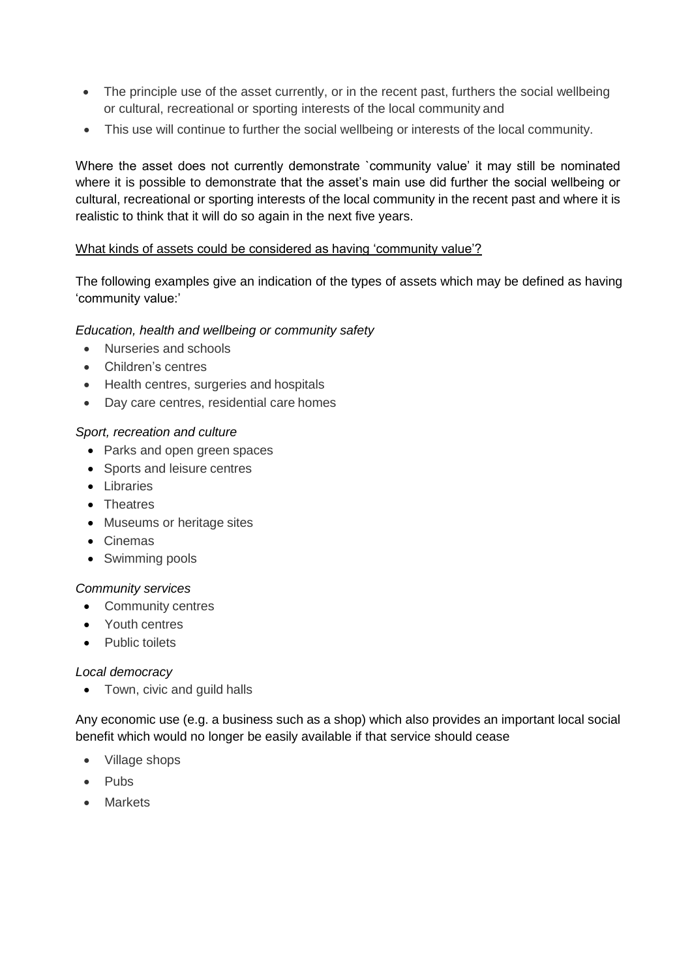- The principle use of the asset currently, or in the recent past, furthers the social wellbeing or cultural, recreational or sporting interests of the local community and
- This use will continue to further the social wellbeing or interests of the local community.

Where the asset does not currently demonstrate `community value' it may still be nominated where it is possible to demonstrate that the asset's main use did further the social wellbeing or cultural, recreational or sporting interests of the local community in the recent past and where it is realistic to think that it will do so again in the next five years.

## What kinds of assets could be considered as having 'community value'?

The following examples give an indication of the types of assets which may be defined as having 'community value:'

## *Education, health and wellbeing or community safety*

- Nurseries and schools
- Children's centres
- Health centres, surgeries and hospitals
- Day care centres, residential care homes

#### *Sport, recreation and culture*

- Parks and open green spaces
- Sports and leisure centres
- Libraries
- Theatres
- Museums or heritage sites
- Cinemas
- Swimming pools

#### *Community services*

- Community centres
- Youth centres
- Public toilets

#### *Local democracy*

• Town, civic and guild halls

Any economic use (e.g. a business such as a shop) which also provides an important local social benefit which would no longer be easily available if that service should cease

- Village shops
- Pubs
- Markets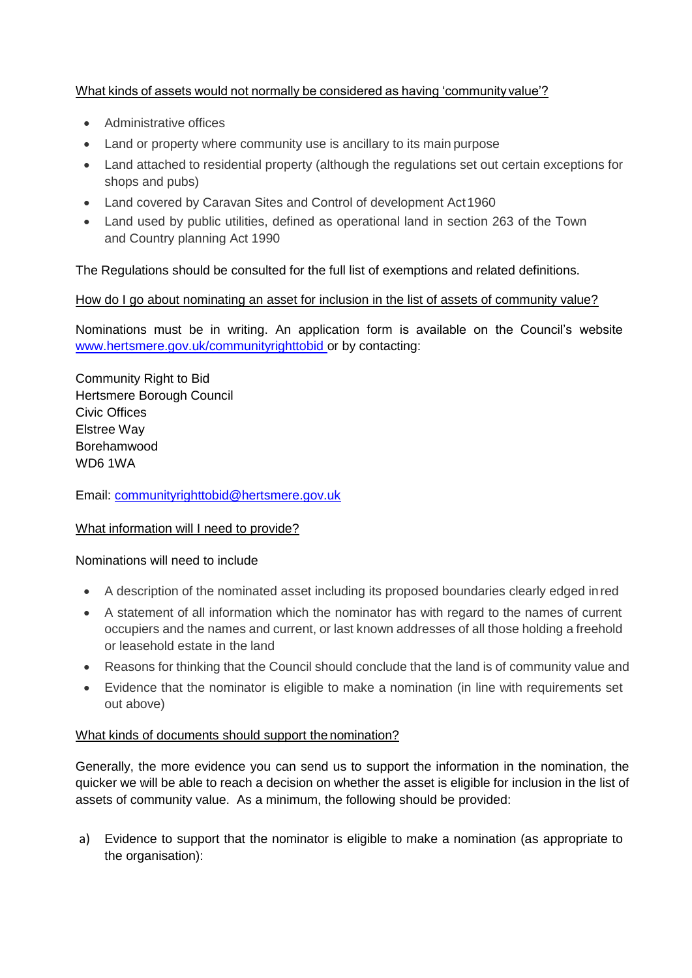# What kinds of assets would not normally be considered as having 'communityvalue'?

- Administrative offices
- Land or property where community use is ancillary to its main purpose
- Land attached to residential property (although the regulations set out certain exceptions for shops and pubs)
- Land covered by Caravan Sites and Control of development Act 1960
- Land used by public utilities, defined as operational land in section 263 of the Town and Country planning Act 1990

The Regulations should be consulted for the full list of exemptions and related definitions.

# How do I go about nominating an asset for inclusion in the list of assets of community value?

Nominations must be in writing. An [application form](http://www.cornwall.gov.uk/idoc.ashx?docid=cc667feb-f0b2-49bc-93c5-8a9fbb25d950&version=-1) is available on the Council's website [www.hertsmere.gov.uk/communityrighttobid o](http://www.hertsmere.gov.uk/communityrighttobid)r by contacting:

Community Right to Bid Hertsmere Borough Council Civic Offices Elstree Way Borehamwood WD6 1WA

Email: [communityrighttobid@hertsmere.gov.uk](mailto:communityrighttobid@hertsmere.gov.uk)

# What information will I need to provide?

#### Nominations will need to include

- A description of the nominated asset including its proposed boundaries clearly edged inred
- A statement of all information which the nominator has with regard to the names of current occupiers and the names and current, or last known addresses of all those holding a freehold or leasehold estate in the land
- Reasons for thinking that the Council should conclude that the land is of community value and
- Evidence that the nominator is eligible to make a nomination (in line with requirements set out above)

#### What kinds of documents should support the nomination?

Generally, the more evidence you can send us to support the information in the nomination, the quicker we will be able to reach a decision on whether the asset is eligible for inclusion in the list of assets of community value. As a minimum, the following should be provided:

a) Evidence to support that the nominator is eligible to make a nomination (as appropriate to the organisation):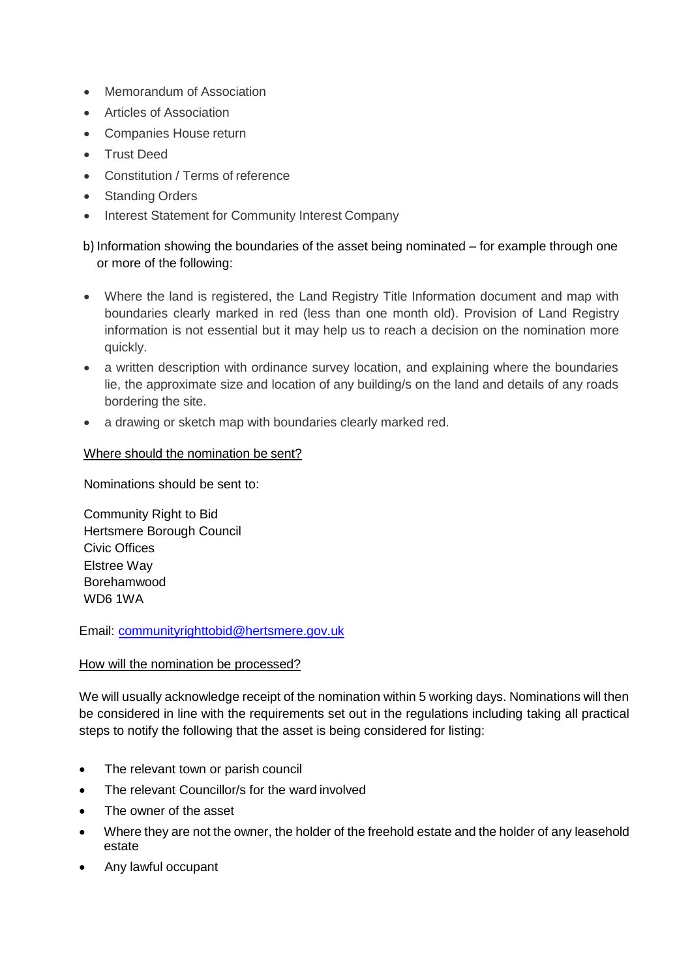- Memorandum of Association
- Articles of Association
- Companies House return
- **•** Trust Deed
- Constitution / Terms of reference
- Standing Orders
- Interest Statement for Community Interest Company

# b) Information showing the boundaries of the asset being nominated – for example through one or more of the following:

- Where the land is registered, the Land Registry Title Information document and map with boundaries clearly marked in red (less than one month old). Provision of Land Registry information is not essential but it may help us to reach a decision on the nomination more quickly.
- a written description with ordinance survey location, and explaining where the boundaries lie, the approximate size and location of any building/s on the land and details of any roads bordering the site.
- a drawing or sketch map with boundaries clearly marked red.

#### Where should the nomination be sent?

Nominations should be sent to:

Community Right to Bid Hertsmere Borough Council Civic Offices Elstree Way Borehamwood WD6 1WA

Email: [communityrighttobid@hertsmere.gov.uk](mailto:communityrighttobid@hertsmere.gov.uk)

#### How will the nomination be processed?

We will usually acknowledge receipt of the nomination within 5 working days. Nominations will then be considered in line with the requirements set out in the regulations including taking all practical steps to notify the following that the asset is being considered for listing:

- The relevant town or parish council
- The relevant Councillor/s for the ward involved
- The owner of the asset
- Where they are not the owner, the holder of the freehold estate and the holder of any leasehold estate
- Any lawful occupant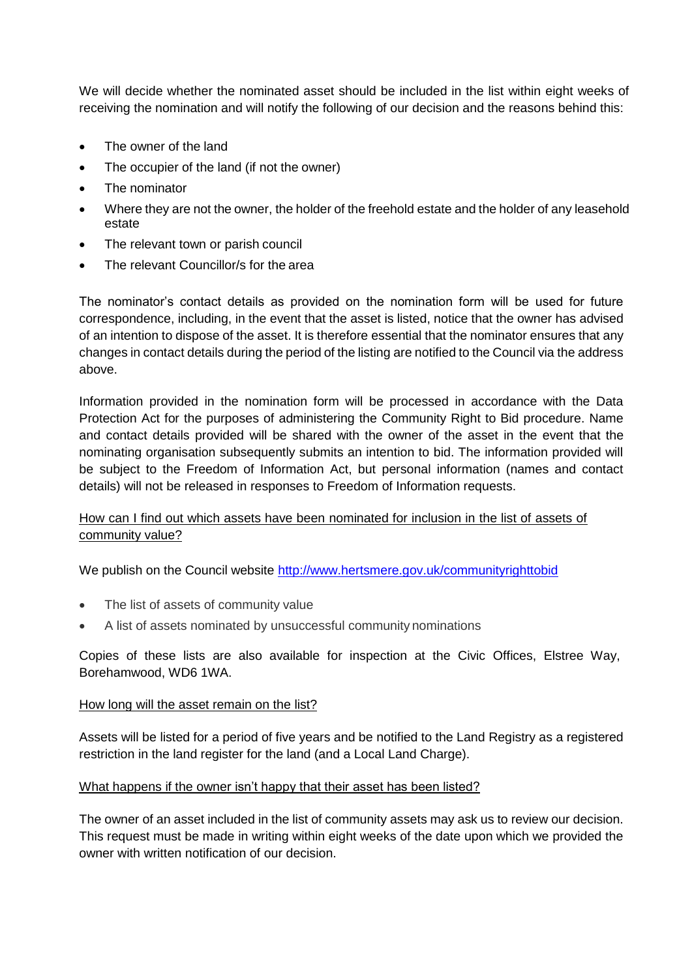We will decide whether the nominated asset should be included in the list within eight weeks of receiving the nomination and will notify the following of our decision and the reasons behind this:

- The owner of the land
- The occupier of the land (if not the owner)
- The nominator
- Where they are not the owner, the holder of the freehold estate and the holder of any leasehold estate
- The relevant town or parish council
- The relevant Councillor/s for the area

The nominator's contact details as provided on the nomination form will be used for future correspondence, including, in the event that the asset is listed, notice that the owner has advised of an intention to dispose of the asset. It is therefore essential that the nominator ensures that any changes in contact details during the period of the listing are notified to the Council via the address above.

Information provided in the nomination form will be processed in accordance with the Data Protection Act for the purposes of administering the Community Right to Bid procedure. Name and contact details provided will be shared with the owner of the asset in the event that the nominating organisation subsequently submits an intention to bid. The information provided will be subject to the Freedom of Information Act, but personal information (names and contact details) will not be released in responses to Freedom of Information requests.

# How can I find out which assets have been nominated for inclusion in the list of assets of community value?

We publish on the Council website<http://www.hertsmere.gov.uk/communityrighttobid>

- The list of assets of community value
- A list of assets nominated by unsuccessful community nominations

Copies of these lists are also available for inspection at the Civic Offices, Elstree Way, Borehamwood, WD6 1WA.

#### How long will the asset remain on the list?

Assets will be listed for a period of five years and be notified to the Land Registry as a registered restriction in the land register for the land (and a Local Land Charge).

#### What happens if the owner isn't happy that their asset has been listed?

The owner of an asset included in the list of community assets may ask us to review our decision. This request must be made in writing within eight weeks of the date upon which we provided the owner with written notification of our decision.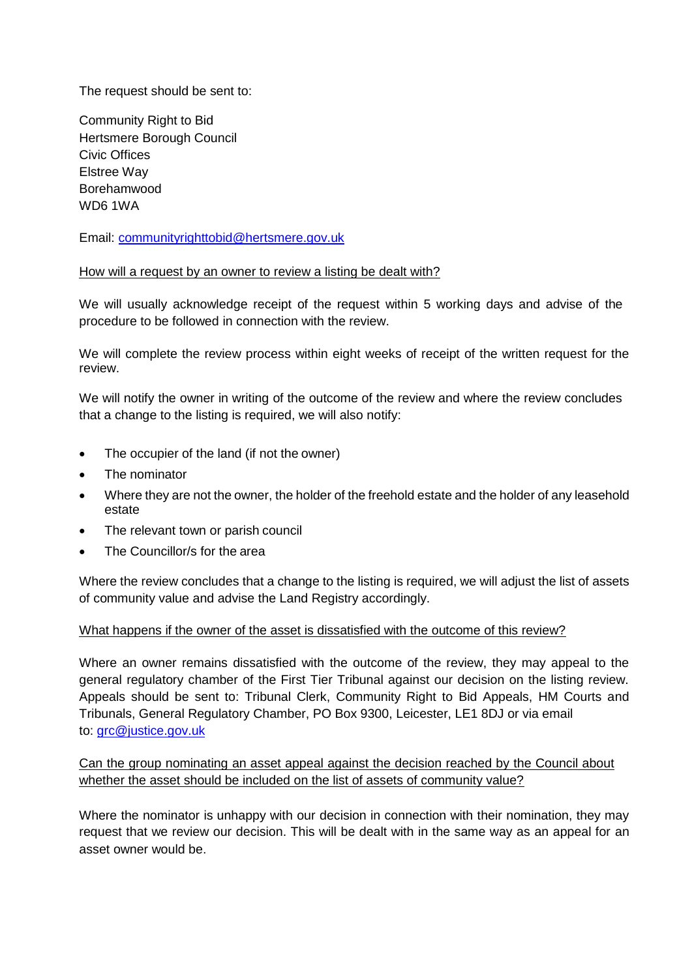The request should be sent to:

Community Right to Bid Hertsmere Borough Council Civic Offices Elstree Way Borehamwood WD6 1WA

Email: [communityrighttobid@hertsmere.gov.uk](mailto:communityrighttobid@hertsmere.gov.uk)

#### How will a request by an owner to review a listing be dealt with?

We will usually acknowledge receipt of the request within 5 working days and advise of the procedure to be followed in connection with the review.

We will complete the review process within eight weeks of receipt of the written request for the review.

We will notify the owner in writing of the outcome of the review and where the review concludes that a change to the listing is required, we will also notify:

- The occupier of the land (if not the owner)
- The nominator
- Where they are not the owner, the holder of the freehold estate and the holder of any leasehold estate
- The relevant town or parish council
- The Councillor/s for the area

Where the review concludes that a change to the listing is required, we will adjust the list of assets of community value and advise the Land Registry accordingly.

#### What happens if the owner of the asset is dissatisfied with the outcome of this review?

Where an owner remains dissatisfied with the outcome of the review, they may appeal to the general regulatory chamber of the First Tier Tribunal against our decision on the listing review. Appeals should be sent to: Tribunal Clerk, Community Right to Bid Appeals, HM Courts and Tribunals, General Regulatory Chamber, PO Box 9300, Leicester, LE1 8DJ or via email to: [grc@justice.gov.uk](mailto:grc@justice.gov.uk)

Can the group nominating an asset appeal against the decision reached by the Council about whether the asset should be included on the list of assets of community value?

Where the nominator is unhappy with our decision in connection with their nomination, they may request that we review our decision. This will be dealt with in the same way as an appeal for an asset owner would be.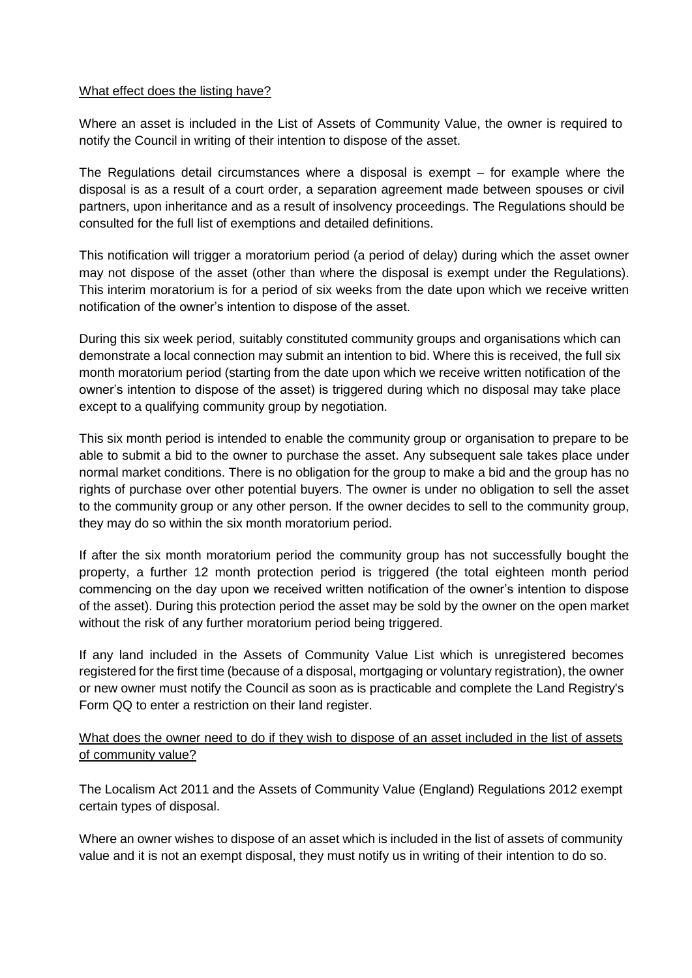#### What effect does the listing have?

Where an asset is included in the List of Assets of Community Value, the owner is required to notify the Council in writing of their intention to dispose of the asset.

The Regulations detail circumstances where a disposal is exempt – for example where the disposal is as a result of a court order, a separation agreement made between spouses or civil partners, upon inheritance and as a result of insolvency proceedings. The Regulations should be consulted for the full list of exemptions and detailed definitions.

This notification will trigger a moratorium period (a period of delay) during which the asset owner may not dispose of the asset (other than where the disposal is exempt under the Regulations). This interim moratorium is for a period of six weeks from the date upon which we receive written notification of the owner's intention to dispose of the asset.

During this six week period, suitably constituted community groups and organisations which can demonstrate a local connection may submit an intention to bid. Where this is received, the full six month moratorium period (starting from the date upon which we receive written notification of the owner's intention to dispose of the asset) is triggered during which no disposal may take place except to a qualifying community group by negotiation.

This six month period is intended to enable the community group or organisation to prepare to be able to submit a bid to the owner to purchase the asset. Any subsequent sale takes place under normal market conditions. There is no obligation for the group to make a bid and the group has no rights of purchase over other potential buyers. The owner is under no obligation to sell the asset to the community group or any other person. If the owner decides to sell to the community group, they may do so within the six month moratorium period.

If after the six month moratorium period the community group has not successfully bought the property, a further 12 month protection period is triggered (the total eighteen month period commencing on the day upon we received written notification of the owner's intention to dispose of the asset). During this protection period the asset may be sold by the owner on the open market without the risk of any further moratorium period being triggered.

If any land included in the Assets of Community Value List which is unregistered becomes registered for the first time (because of a disposal, mortgaging or voluntary registration), the owner or new owner must notify the Council as soon as is practicable and complete the Land Registry's Form QQ to enter a restriction on their land register.

# What does the owner need to do if they wish to dispose of an asset included in the list of assets of community value?

The Localism Act 2011 and the Assets of Community Value (England) Regulations 2012 exempt certain types of disposal.

Where an owner wishes to dispose of an asset which is included in the list of assets of community value and it is not an exempt disposal, they must notify us in writing of their intention to do so.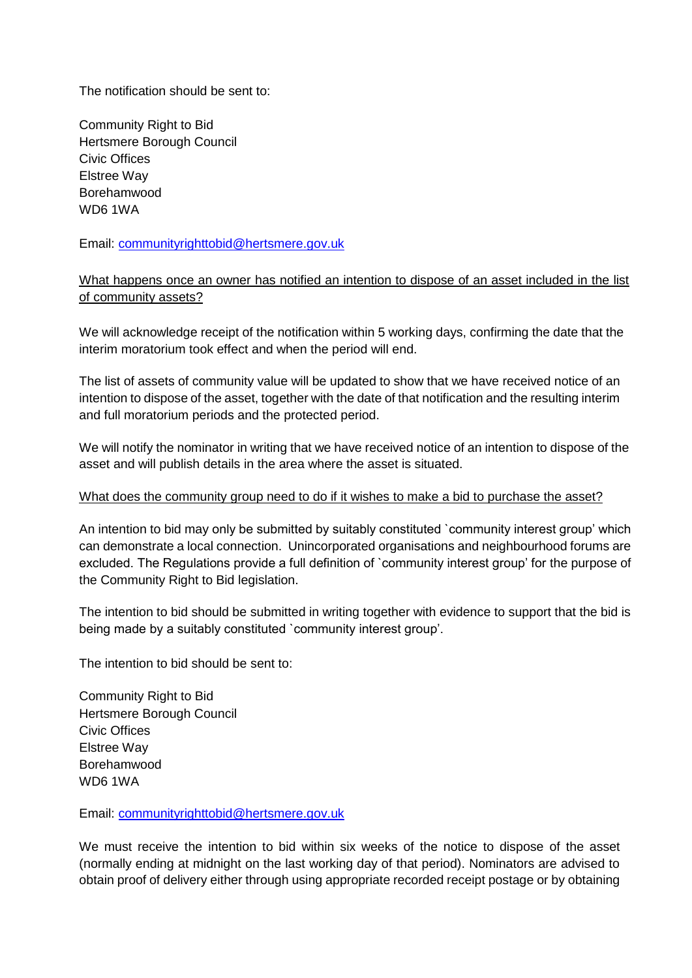The notification should be sent to:

Community Right to Bid Hertsmere Borough Council Civic Offices Elstree Way Borehamwood WD6 1WA

Email: [communityrighttobid@hertsmere.gov.uk](mailto:communityrighttobid@hertsmere.gov.uk)

# What happens once an owner has notified an intention to dispose of an asset included in the list of community assets?

We will acknowledge receipt of the notification within 5 working days, confirming the date that the interim moratorium took effect and when the period will end.

The list of assets of community value will be updated to show that we have received notice of an intention to dispose of the asset, together with the date of that notification and the resulting interim and full moratorium periods and the protected period.

We will notify the nominator in writing that we have received notice of an intention to dispose of the asset and will publish details in the area where the asset is situated.

#### What does the community group need to do if it wishes to make a bid to purchase the asset?

An intention to bid may only be submitted by suitably constituted `community interest group' which can demonstrate a local connection. Unincorporated organisations and neighbourhood forums are excluded. The Regulations provide a full definition of `community interest group' for the purpose of the Community Right to Bid legislation.

The intention to bid should be submitted in writing together with evidence to support that the bid is being made by a suitably constituted `community interest group'.

The intention to bid should be sent to:

Community Right to Bid Hertsmere Borough Council Civic Offices Elstree Way Borehamwood WD6 1WA

Email: [communityrighttobid@hertsmere.gov.uk](mailto:communityrighttobid@hertsmere.gov.uk)

We must receive the intention to bid within six weeks of the notice to dispose of the asset (normally ending at midnight on the last working day of that period). Nominators are advised to obtain proof of delivery either through using appropriate recorded receipt postage or by obtaining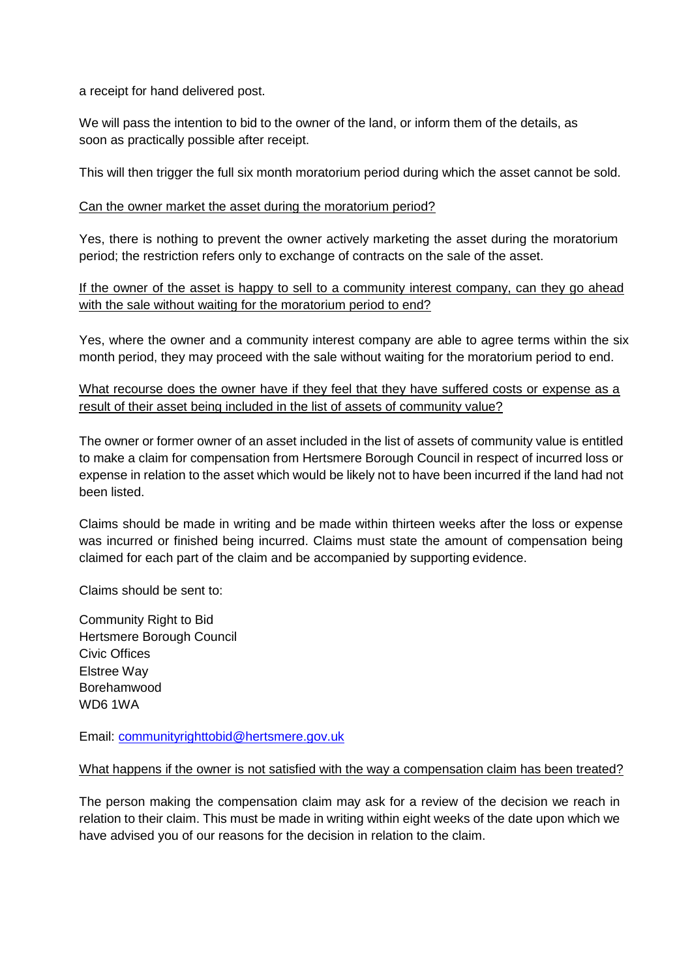a receipt for hand delivered post.

We will pass the intention to bid to the owner of the land, or inform them of the details, as soon as practically possible after receipt.

This will then trigger the full six month moratorium period during which the asset cannot be sold.

#### Can the owner market the asset during the moratorium period?

Yes, there is nothing to prevent the owner actively marketing the asset during the moratorium period; the restriction refers only to exchange of contracts on the sale of the asset.

## If the owner of the asset is happy to sell to a community interest company, can they go ahead with the sale without waiting for the moratorium period to end?

Yes, where the owner and a community interest company are able to agree terms within the six month period, they may proceed with the sale without waiting for the moratorium period to end.

What recourse does the owner have if they feel that they have suffered costs or expense as a result of their asset being included in the list of assets of community value?

The owner or former owner of an asset included in the list of assets of community value is entitled to make a claim for compensation from Hertsmere Borough Council in respect of incurred loss or expense in relation to the asset which would be likely not to have been incurred if the land had not been listed.

Claims should be made in writing and be made within thirteen weeks after the loss or expense was incurred or finished being incurred. Claims must state the amount of compensation being claimed for each part of the claim and be accompanied by supporting evidence.

Claims should be sent to:

Community Right to Bid Hertsmere Borough Council Civic Offices Elstree Way Borehamwood WD6 1WA

Email: [communityrighttobid@hertsmere.gov.uk](mailto:communityrighttobid@hertsmere.gov.uk)

#### What happens if the owner is not satisfied with the way a compensation claim has been treated?

The person making the compensation claim may ask for a review of the decision we reach in relation to their claim. This must be made in writing within eight weeks of the date upon which we have advised you of our reasons for the decision in relation to the claim.